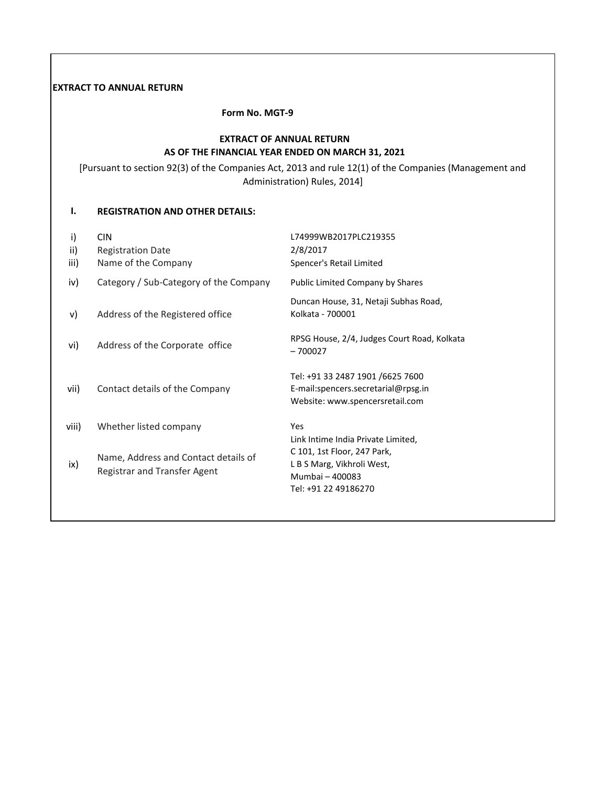## **EXTRACT TO ANNUAL RETURN**

 **Form No. MGT-9**

## **EXTRACT OF ANNUAL RETURN AS OF THE FINANCIAL YEAR ENDED ON MARCH 31, 2021**

[Pursuant to section 92(3) of the Companies Act, 2013 and rule 12(1) of the Companies (Management and Administration) Rules, 2014]

### **I. REGISTRATION AND OTHER DETAILS:**

| i)<br>ii)<br>iii) | <b>CIN</b><br><b>Registration Date</b><br>Name of the Company        | L74999WB2017PLC219355<br>2/8/2017<br>Spencer's Retail Limited                                                                              |
|-------------------|----------------------------------------------------------------------|--------------------------------------------------------------------------------------------------------------------------------------------|
| iv)               | Category / Sub-Category of the Company                               | Public Limited Company by Shares                                                                                                           |
| V)                | Address of the Registered office                                     | Duncan House, 31, Netaji Subhas Road,<br>Kolkata - 700001                                                                                  |
| vi)               | Address of the Corporate office                                      | RPSG House, 2/4, Judges Court Road, Kolkata<br>$-700027$                                                                                   |
| vii)              | Contact details of the Company                                       | Tel: +91 33 2487 1901 /6625 7600<br>E-mail:spencers.secretarial@rpsg.in<br>Website: www.spencersretail.com                                 |
| viii)             | Whether listed company                                               | <b>Yes</b>                                                                                                                                 |
| ix)               | Name, Address and Contact details of<br>Registrar and Transfer Agent | Link Intime India Private Limited,<br>C 101, 1st Floor, 247 Park,<br>L B S Marg, Vikhroli West,<br>Mumbai - 400083<br>Tel: +91 22 49186270 |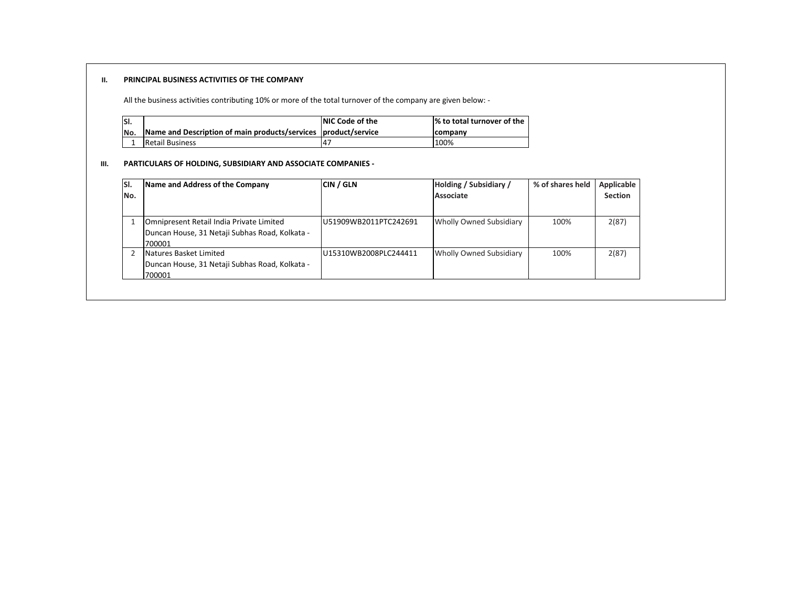#### **II. PRINCIPAL BUSINESS ACTIVITIES OF THE COMPANY**

All the business activities contributing 10% or more of the total turnover of the company are given below: -

| SI. |                                                                | <b>NIC Code of the</b> | % to total turnover of the |
|-----|----------------------------------------------------------------|------------------------|----------------------------|
| No. | Name and Description of main products/services product/service |                        | <b>Icompany</b>            |
|     | Retail Business                                                |                        | 100%                       |

#### **III. PARTICULARS OF HOLDING, SUBSIDIARY AND ASSOCIATE COMPANIES -**

| SI.<br>No. | Name and Address of the Company                                                                      | <b>CIN / GLN</b>       | Holding / Subsidiary /<br>Associate | % of shares held | <b>Applicable</b><br><b>Section</b> |
|------------|------------------------------------------------------------------------------------------------------|------------------------|-------------------------------------|------------------|-------------------------------------|
|            | Omnipresent Retail India Private Limited<br>Duncan House, 31 Netaji Subhas Road, Kolkata -<br>700001 | IU51909WB2011PTC242691 | Wholly Owned Subsidiary             | 100%             | 2(87)                               |
|            | Natures Basket Limited<br>Duncan House, 31 Netaji Subhas Road, Kolkata -<br>700001                   | IU15310WB2008PLC244411 | Wholly Owned Subsidiary             | 100%             | 2(87)                               |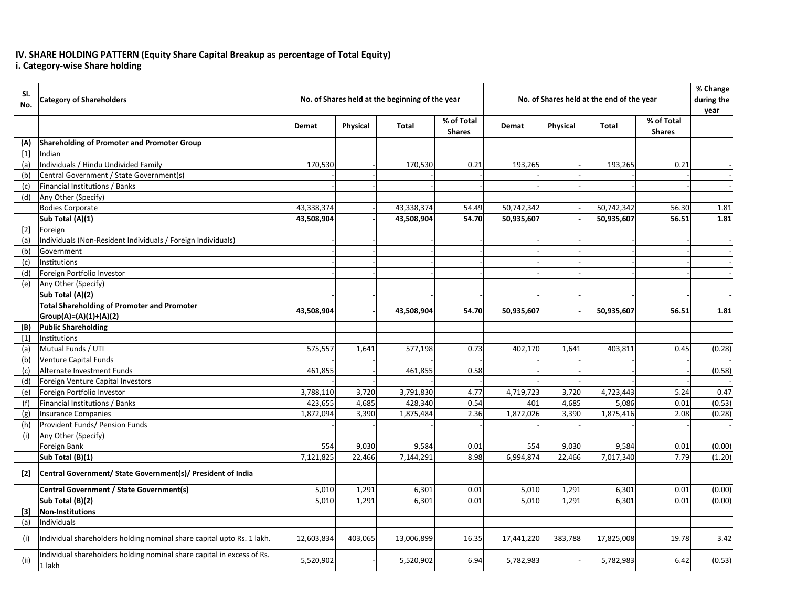## **IV. SHARE HOLDING PATTERN (Equity Share Capital Breakup as percentage of Total Equity) i. Category-wise Share holding**

| SI.<br>No. | <b>Category of Shareholders</b>                                                  |            |          | No. of Shares held at the beginning of the year |                             |            | No. of Shares held at the end of the year |              |                             | % Change<br>during the<br>year |
|------------|----------------------------------------------------------------------------------|------------|----------|-------------------------------------------------|-----------------------------|------------|-------------------------------------------|--------------|-----------------------------|--------------------------------|
|            |                                                                                  | Demat      | Physical | <b>Total</b>                                    | % of Total<br><b>Shares</b> | Demat      | <b>Physical</b>                           | <b>Total</b> | % of Total<br><b>Shares</b> |                                |
| (A)        | <b>Shareholding of Promoter and Promoter Group</b>                               |            |          |                                                 |                             |            |                                           |              |                             |                                |
| $[1]$      | Indian                                                                           |            |          |                                                 |                             |            |                                           |              |                             |                                |
| (a)        | Individuals / Hindu Undivided Family                                             | 170,530    |          | 170,530                                         | 0.21                        | 193,265    |                                           | 193,265      | 0.21                        |                                |
| (b)        | Central Government / State Government(s)                                         |            |          |                                                 |                             |            |                                           |              |                             |                                |
| (c)        | Financial Institutions / Banks                                                   |            |          |                                                 |                             |            |                                           |              |                             |                                |
| (d)        | Any Other (Specify)                                                              |            |          |                                                 |                             |            |                                           |              |                             |                                |
|            | <b>Bodies Corporate</b>                                                          | 43,338,374 |          | 43,338,374                                      | 54.49                       | 50,742,342 |                                           | 50,742,342   | 56.30                       | 1.81                           |
|            | Sub Total (A)(1)                                                                 | 43,508,904 |          | 43,508,904                                      | 54.70                       | 50,935,607 |                                           | 50,935,607   | 56.51                       | 1.81                           |
| $[2]$      | Foreign                                                                          |            |          |                                                 |                             |            |                                           |              |                             |                                |
| (a)        | Individuals (Non-Resident Individuals / Foreign Individuals)                     |            |          |                                                 |                             |            |                                           |              |                             |                                |
| (b)        | Government                                                                       |            |          |                                                 |                             |            |                                           |              |                             |                                |
| (c)        | Institutions                                                                     |            |          |                                                 |                             |            |                                           |              |                             |                                |
| (d)        | Foreign Portfolio Investor                                                       |            |          |                                                 |                             |            |                                           |              |                             |                                |
| (e)        | Any Other (Specify)                                                              |            |          |                                                 |                             |            |                                           |              |                             |                                |
|            | Sub Total (A)(2)                                                                 |            |          |                                                 |                             |            |                                           |              |                             |                                |
|            | <b>Total Shareholding of Promoter and Promoter</b>                               |            |          |                                                 | 54.70                       |            |                                           |              | 56.51                       | 1.81                           |
|            | $Group(A)=(A)(1)+(A)(2)$                                                         | 43,508,904 |          | 43,508,904                                      |                             | 50,935,607 |                                           | 50,935,607   |                             |                                |
| (B)        | <b>Public Shareholding</b>                                                       |            |          |                                                 |                             |            |                                           |              |                             |                                |
| $[1]$      | Institutions                                                                     |            |          |                                                 |                             |            |                                           |              |                             |                                |
| (a)        | Mutual Funds / UTI                                                               | 575,557    | 1,641    | 577,198                                         | 0.73                        | 402,170    | 1,641                                     | 403,811      | 0.45                        | (0.28)                         |
| (b)        | Venture Capital Funds                                                            |            |          |                                                 |                             |            |                                           |              |                             |                                |
| (c)        | Alternate Investment Funds                                                       | 461,855    |          | 461,855                                         | 0.58                        |            |                                           |              |                             | (0.58)                         |
| (d)        | Foreign Venture Capital Investors                                                |            |          |                                                 |                             |            |                                           |              |                             |                                |
| (e)        | Foreign Portfolio Investor                                                       | 3,788,110  | 3,720    | 3,791,830                                       | 4.77                        | 4,719,723  | 3,720                                     | 4,723,443    | 5.24                        | 0.47                           |
| (f)        | Financial Institutions / Banks                                                   | 423,655    | 4,685    | 428,340                                         | 0.54                        | 401        | 4,685                                     | 5,086        | 0.01                        | (0.53)                         |
| (g)        | <b>Insurance Companies</b>                                                       | 1,872,094  | 3,390    | 1,875,484                                       | 2.36                        | 1,872,026  | 3,390                                     | 1,875,416    | 2.08                        | (0.28)                         |
| (h)        | Provident Funds/ Pension Funds                                                   |            |          |                                                 |                             |            |                                           |              |                             |                                |
| (i)        | Any Other (Specify)                                                              |            |          |                                                 |                             |            |                                           |              |                             |                                |
|            | Foreign Bank                                                                     | 554        | 9,030    | 9,584                                           | 0.01                        | 554        | 9,030                                     | 9,584        | 0.01                        | (0.00)                         |
|            | Sub Total (B)(1)                                                                 | 7,121,825  | 22,466   | 7,144,291                                       | 8.98                        | 6,994,874  | 22,466                                    | 7,017,340    | 7.79                        | (1.20)                         |
| $[2]$      | Central Government/ State Government(s)/ President of India                      |            |          |                                                 |                             |            |                                           |              |                             |                                |
|            | <b>Central Government / State Government(s)</b>                                  | 5,010      | 1,291    | 6,301                                           | 0.01                        | 5,010      | 1,291                                     | 6,301        | 0.01                        | (0.00)                         |
|            | Sub Total (B)(2)                                                                 | 5,010      | 1,291    | 6,301                                           | 0.01                        | 5,010      | 1,291                                     | 6,301        | 0.01                        | (0.00)                         |
| $[3]$      | <b>Non-Institutions</b>                                                          |            |          |                                                 |                             |            |                                           |              |                             |                                |
| (a)        | Individuals                                                                      |            |          |                                                 |                             |            |                                           |              |                             |                                |
| (i)        | Individual shareholders holding nominal share capital upto Rs. 1 lakh.           | 12,603,834 | 403,065  | 13,006,899                                      | 16.35                       | 17,441,220 | 383,788                                   | 17,825,008   | 19.78                       | 3.42                           |
| (ii)       | Individual shareholders holding nominal share capital in excess of Rs.<br>1 lakh | 5,520,902  |          | 5,520,902                                       | 6.94                        | 5,782,983  |                                           | 5,782,983    | 6.42                        | (0.53)                         |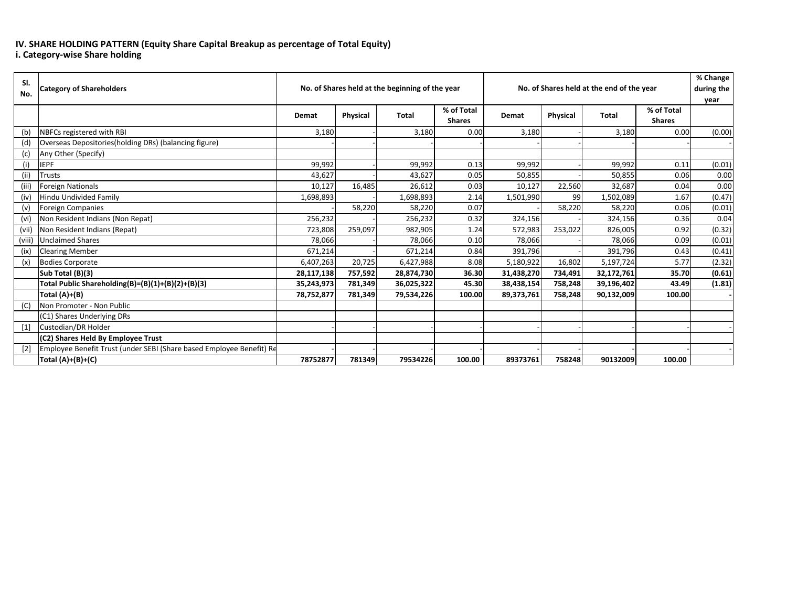## **IV. SHARE HOLDING PATTERN (Equity Share Capital Breakup as percentage of Total Equity)**

**i. Category-wise Share holding**

| SI.<br>No. | <b>Category of Shareholders</b>                                      | No. of Shares held at the beginning of the year |                 |              | No. of Shares held at the end of the year |            |                 |              | % Change<br>during the<br>year |        |
|------------|----------------------------------------------------------------------|-------------------------------------------------|-----------------|--------------|-------------------------------------------|------------|-----------------|--------------|--------------------------------|--------|
|            |                                                                      | <b>Demat</b>                                    | <b>Physical</b> | <b>Total</b> | % of Total<br><b>Shares</b>               | Demat      | <b>Physical</b> | <b>Total</b> | % of Total<br><b>Shares</b>    |        |
| (b)        | <b>NBFCs registered with RBI</b>                                     | 3,180                                           |                 | 3,180        | 0.00                                      | 3,180      |                 | 3,180        | 0.00                           | (0.00) |
| (d)        | Overseas Depositories(holding DRs) (balancing figure)                |                                                 |                 |              |                                           |            |                 |              |                                |        |
| (c)        | Any Other (Specify)                                                  |                                                 |                 |              |                                           |            |                 |              |                                |        |
| (i)        | <b>IEPF</b>                                                          | 99,992                                          |                 | 99,992       | 0.13                                      | 99,992     |                 | 99,992       | 0.11                           | (0.01) |
| (ii)       | Trusts                                                               | 43,627                                          |                 | 43,627       | 0.05                                      | 50,855     |                 | 50,855       | 0.06                           | 0.00   |
| (iii)      | <b>Foreign Nationals</b>                                             | 10,127                                          | 16,485          | 26,612       | 0.03                                      | 10,127     | 22,560          | 32,687       | 0.04                           | 0.00   |
| (iv)       | <b>Hindu Undivided Family</b>                                        | 1,698,893                                       |                 | 1,698,893    | 2.14                                      | 1,501,990  | 99              | 1,502,089    | 1.67                           | (0.47) |
| (v)        | <b>Foreign Companies</b>                                             |                                                 | 58,220          | 58,220       | 0.07                                      |            | 58,220          | 58,220       | 0.06                           | (0.01) |
| (vi)       | Non Resident Indians (Non Repat)                                     | 256,232                                         |                 | 256,232      | 0.32                                      | 324,156    |                 | 324,156      | 0.36                           | 0.04   |
| (vii)      | Non Resident Indians (Repat)                                         | 723,808                                         | 259,097         | 982,905      | 1.24                                      | 572,983    | 253,022         | 826,005      | 0.92                           | (0.32) |
| (viii)     | <b>Unclaimed Shares</b>                                              | 78,066                                          |                 | 78,066       | 0.10                                      | 78,066     |                 | 78,066       | 0.09                           | (0.01) |
| (ix)       | <b>Clearing Member</b>                                               | 671,214                                         |                 | 671,214      | 0.84                                      | 391,796    |                 | 391,796      | 0.43                           | (0.41) |
| (x)        | <b>Bodies Corporate</b>                                              | 6,407,263                                       | 20,725          | 6,427,988    | 8.08                                      | 5,180,922  | 16,802          | 5,197,724    | 5.77                           | (2.32) |
|            | Sub Total (B)(3)                                                     | 28,117,138                                      | 757,592         | 28,874,730   | 36.30                                     | 31,438,270 | 734,491         | 32,172,761   | 35.70                          | (0.61) |
|            | Total Public Shareholding(B)=(B)(1)+(B)(2)+(B)(3)                    | 35,243,973                                      | 781,349         | 36,025,322   | 45.30                                     | 38,438,154 | 758,248         | 39,196,402   | 43.49                          | (1.81) |
|            | Total (A)+(B)                                                        | 78,752,877                                      | 781,349         | 79,534,226   | 100.00                                    | 89,373,761 | 758,248         | 90,132,009   | 100.00                         |        |
| (C)        | Non Promoter - Non Public                                            |                                                 |                 |              |                                           |            |                 |              |                                |        |
|            | (C1) Shares Underlying DRs                                           |                                                 |                 |              |                                           |            |                 |              |                                |        |
| $[1]$      | Custodian/DR Holder                                                  |                                                 |                 |              |                                           |            |                 |              |                                |        |
|            | (C2) Shares Held By Employee Trust                                   |                                                 |                 |              |                                           |            |                 |              |                                |        |
| $[2]$      | Employee Benefit Trust (under SEBI (Share based Employee Benefit) Re |                                                 |                 |              |                                           |            |                 |              |                                |        |
|            | Total $(A)+(B)+(C)$                                                  | 78752877                                        | 781349          | 79534226     | 100.00                                    | 89373761   | 758248          | 90132009     | 100.00                         |        |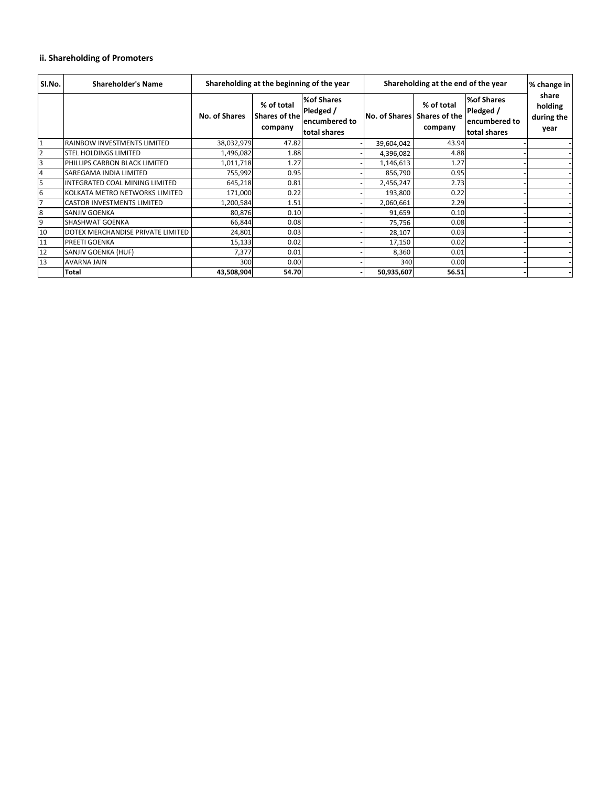| SI.No.         | <b>Shareholder's Name</b>         |                      | Shareholding at the beginning of the year |                                                                 | Shareholding at the end of the year |                                               |                                                          | % change in                            |
|----------------|-----------------------------------|----------------------|-------------------------------------------|-----------------------------------------------------------------|-------------------------------------|-----------------------------------------------|----------------------------------------------------------|----------------------------------------|
|                |                                   | <b>No. of Shares</b> | % of total<br>Shares of the<br>company    | <b>%of Shares</b><br>Pledged /<br>encumbered to<br>total shares | No. of Shares                       | % of total<br><b>Shares of the</b><br>company | %of Shares<br>Pledged /<br>encumbered to<br>total shares | share<br>holding<br>during the<br>year |
|                | RAINBOW INVESTMENTS LIMITED       | 38,032,979           | 47.82                                     |                                                                 | 39,604,042                          | 43.94                                         |                                                          |                                        |
| $\overline{2}$ | <b>STEL HOLDINGS LIMITED</b>      | 1,496,082            | 1.88                                      |                                                                 | 4,396,082                           | 4.88                                          |                                                          |                                        |
| 3              | PHILLIPS CARBON BLACK LIMITED     | 1,011,718            | 1.27                                      |                                                                 | 1,146,613                           | 1.27                                          |                                                          |                                        |
| 4              | SAREGAMA INDIA LIMITED            | 755,992              | 0.95                                      |                                                                 | 856,790                             | 0.95                                          |                                                          |                                        |
| 5              | INTEGRATED COAL MINING LIMITED    | 645,218              | 0.81                                      |                                                                 | 2,456,247                           | 2.73                                          |                                                          |                                        |
| 6              | KOLKATA METRO NETWORKS LIMITED    | 171,000              | 0.22                                      |                                                                 | 193,800                             | 0.22                                          |                                                          |                                        |
|                | <b>CASTOR INVESTMENTS LIMITED</b> | 1,200,584            | 1.51                                      |                                                                 | 2,060,661                           | 2.29                                          |                                                          |                                        |
| 18             | SANJIV GOENKA                     | 80,876               | 0.10                                      |                                                                 | 91,659                              | 0.10                                          |                                                          |                                        |
| 9              | SHASHWAT GOENKA                   | 66,844               | 0.08                                      |                                                                 | 75,756                              | 0.08                                          |                                                          |                                        |
| 10             | DOTEX MERCHANDISE PRIVATE LIMITED | 24,801               | 0.03                                      |                                                                 | 28,107                              | 0.03                                          |                                                          |                                        |
| 11             | <b>PREETI GOENKA</b>              | 15,133               | 0.02                                      |                                                                 | 17,150                              | 0.02                                          |                                                          |                                        |
| 12             | SANJIV GOENKA (HUF)               | 7,377                | 0.01                                      |                                                                 | 8,360                               | 0.01                                          |                                                          |                                        |
| 13             | <b>AVARNA JAIN</b>                | 300                  | 0.00                                      |                                                                 | 340                                 | 0.00                                          |                                                          |                                        |
|                | <b>Total</b>                      | 43,508,904           | 54.70                                     |                                                                 | 50,935,607                          | 56.51                                         |                                                          |                                        |

# **ii. Shareholding of Promoters**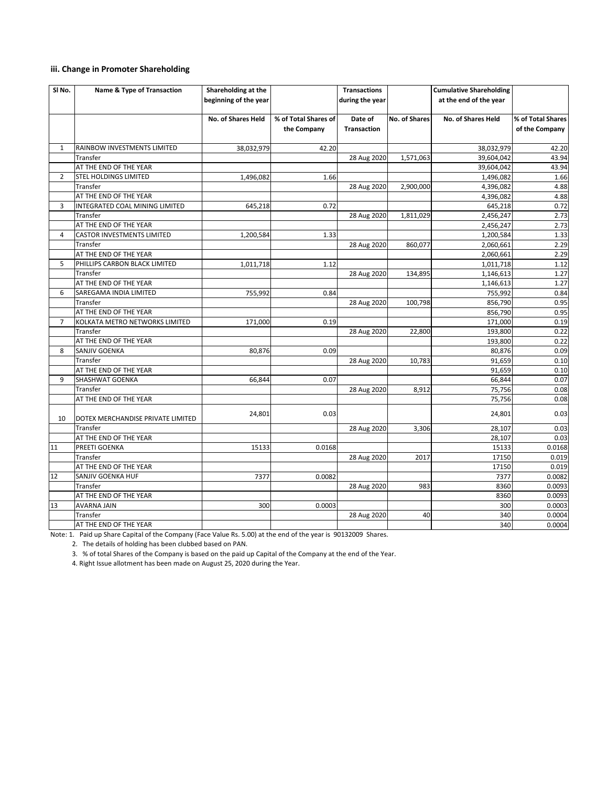# **iii. Change in Promoter Shareholding**

| SI <sub>No.</sub> | <b>Name &amp; Type of Transaction</b> | Shareholding at the       |                      | <b>Transactions</b> |                      | <b>Cumulative Shareholding</b> |                   |
|-------------------|---------------------------------------|---------------------------|----------------------|---------------------|----------------------|--------------------------------|-------------------|
|                   |                                       | beginning of the year     |                      | during the year     |                      | at the end of the year         |                   |
|                   |                                       |                           |                      |                     |                      |                                |                   |
|                   |                                       | <b>No. of Shares Held</b> | % of Total Shares of | Date of             | <b>No. of Shares</b> | <b>No. of Shares Held</b>      | % of Total Shares |
|                   |                                       |                           | the Company          | <b>Transaction</b>  |                      |                                | of the Company    |
|                   |                                       |                           |                      |                     |                      |                                |                   |
| $\mathbf{1}$      | RAINBOW INVESTMENTS LIMITED           | 38,032,979                | 42.20                |                     |                      | 38,032,979                     | 42.20             |
|                   | Transfer                              |                           |                      | 28 Aug 2020         | 1,571,063            | 39,604,042                     | 43.94             |
|                   | AT THE END OF THE YEAR                |                           |                      |                     |                      | 39,604,042                     | 43.94             |
| $\mathbf{2}$      | <b>STEL HOLDINGS LIMITED</b>          | 1,496,082                 | 1.66                 |                     |                      | 1,496,082                      | 1.66              |
|                   | Transfer                              |                           |                      | 28 Aug 2020         | 2,900,000            | 4,396,082                      | 4.88              |
|                   | AT THE END OF THE YEAR                |                           |                      |                     |                      | 4,396,082                      | 4.88              |
| 3                 | INTEGRATED COAL MINING LIMITED        | 645,218                   | 0.72                 |                     |                      | 645,218                        | 0.72              |
|                   | Transfer                              |                           |                      | 28 Aug 2020         | 1,811,029            | 2,456,247                      | 2.73              |
|                   | AT THE END OF THE YEAR                |                           |                      |                     |                      | 2,456,247                      | 2.73              |
| 4                 | <b>CASTOR INVESTMENTS LIMITED</b>     | 1,200,584                 | 1.33                 |                     |                      | 1,200,584                      | 1.33              |
|                   | Transfer                              |                           |                      | 28 Aug 2020         | 860,077              | 2,060,661                      | 2.29              |
|                   | AT THE END OF THE YEAR                |                           |                      |                     |                      | 2,060,661                      | 2.29              |
| 5.                | PHILLIPS CARBON BLACK LIMITED         | 1,011,718                 | 1.12                 |                     |                      | 1,011,718                      | 1.12              |
|                   | Transfer                              |                           |                      | 28 Aug 2020         | 134,895              | 1,146,613                      | 1.27              |
|                   | AT THE END OF THE YEAR                |                           |                      |                     |                      | 1,146,613                      | 1.27              |
| 6                 | SAREGAMA INDIA LIMITED                | 755,992                   | 0.84                 |                     |                      | 755,992                        | 0.84              |
|                   | Transfer                              |                           |                      | 28 Aug 2020         | 100,798              | 856,790                        | 0.95              |
|                   | AT THE END OF THE YEAR                |                           |                      |                     |                      | 856,790                        | 0.95              |
| $7^{\circ}$       | KOLKATA METRO NETWORKS LIMITED        | 171,000                   | 0.19                 |                     |                      | 171,000                        | 0.19              |
|                   | Transfer                              |                           |                      | 28 Aug 2020         | 22,800               | 193,800                        | 0.22              |
|                   | AT THE END OF THE YEAR                |                           |                      |                     |                      | 193,800                        | 0.22              |
| 8                 | <b>SANJIV GOENKA</b>                  | 80,876                    | 0.09                 |                     |                      | 80,876                         | 0.09              |
|                   | Transfer                              |                           |                      | 28 Aug 2020         | 10,783               | 91,659                         | 0.10              |
|                   | AT THE END OF THE YEAR                |                           |                      |                     |                      | 91,659                         | 0.10              |
| 9                 | <b>SHASHWAT GOENKA</b>                | 66,844                    | 0.07                 |                     |                      | 66,844                         | 0.07              |
|                   | Transfer                              |                           |                      | 28 Aug 2020         | 8,912                | 75,756                         | 0.08              |
|                   | AT THE END OF THE YEAR                |                           |                      |                     |                      | 75,756                         | 0.08              |
| 10                | DOTEX MERCHANDISE PRIVATE LIMITED     | 24,801                    | 0.03                 |                     |                      | 24,801                         | 0.03              |
|                   | Transfer                              |                           |                      | 28 Aug 2020         | 3,306                | 28,107                         | 0.03              |
|                   | AT THE END OF THE YEAR                |                           |                      |                     |                      | 28,107                         | 0.03              |
| 11                | PREETI GOENKA                         | 15133                     | 0.0168               |                     |                      | 15133                          | 0.0168            |
|                   | Transfer                              |                           |                      | 28 Aug 2020         | 2017                 | 17150                          | 0.019             |
|                   | AT THE END OF THE YEAR                |                           |                      |                     |                      | 17150                          | 0.019             |
| 12                | SANJIV GOENKA HUF                     | 7377                      | 0.0082               |                     |                      | 7377                           | 0.0082            |
|                   | Transfer                              |                           |                      | 28 Aug 2020         | 983                  | 8360                           | 0.0093            |
|                   | AT THE END OF THE YEAR                |                           |                      |                     |                      | 8360                           | 0.0093            |
| 13                | <b>AVARNA JAIN</b>                    | 300                       | 0.0003               |                     |                      | 300                            | 0.0003            |
|                   | Transfer                              |                           |                      | 28 Aug 2020         | 40                   | 340                            | 0.0004            |
|                   | AT THE END OF THE YEAR                |                           |                      |                     |                      | 340                            | 0.0004            |

Note: 1. Paid up Share Capital of the Company (Face Value Rs. 5.00) at the end of the year is 90132009 Shares.

2. The details of holding has been clubbed based on PAN.

3. % of total Shares of the Company is based on the paid up Capital of the Company at the end of the Year.

4. Right Issue allotment has been made on August 25, 2020 during the Year.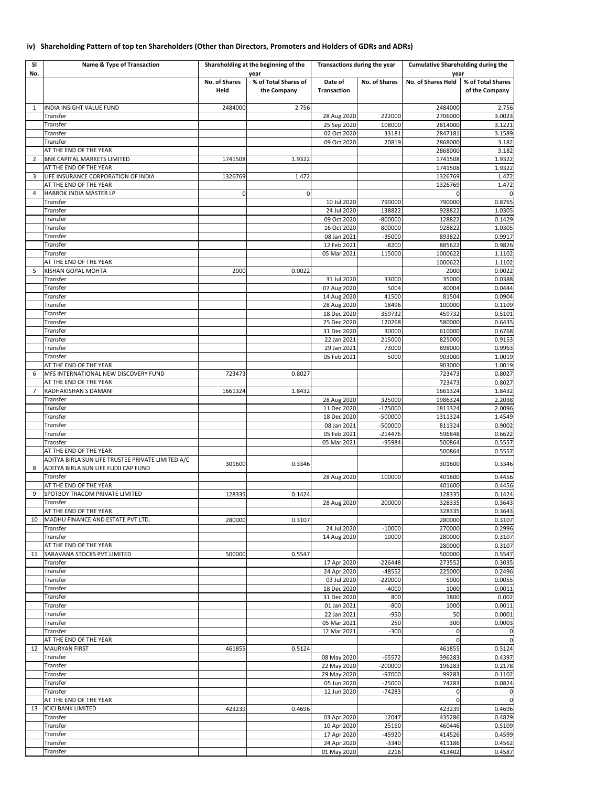| <b>SI</b>      | <b>Name &amp; Type of Transaction</b>                           |                      | Shareholding at the beginning of the | Transactions during the year |                       | <b>Cumulative Shareholding during the</b> |                            |
|----------------|-----------------------------------------------------------------|----------------------|--------------------------------------|------------------------------|-----------------------|-------------------------------------------|----------------------------|
| No.            |                                                                 | <b>No. of Shares</b> | year<br>% of Total Shares of         | Date of                      | <b>No. of Shares</b>  | year<br><b>No. of Shares Held</b>         | % of Total Shares          |
|                |                                                                 | Held                 | the Company                          | <b>Transaction</b>           |                       |                                           | of the Company             |
|                |                                                                 |                      |                                      |                              |                       |                                           |                            |
| 1              | <b>INDIA INSIGHT VALUE FUND</b><br>Transfer                     | 2484000              | 2.756                                | 28 Aug 2020                  | 222000                | 2484000<br>2706000                        | 2.756<br>3.0023            |
|                | Transfer                                                        |                      |                                      | 25 Sep 2020                  | 108000                | 2814000                                   | 3.1221                     |
|                | Transfer                                                        |                      |                                      | 02 Oct 2020                  | 33181                 | 2847181                                   | 3.1589                     |
|                | Transfer                                                        |                      |                                      | 09 Oct 2020                  | 20819                 | 2868000                                   | 3.182                      |
| 2              | AT THE END OF THE YEAR<br><b>BNK CAPITAL MARKETS LIMITED</b>    | 1741508              | 1.9322                               |                              |                       | 2868000<br>1741508                        | 3.182<br>1.9322            |
|                | AT THE END OF THE YEAR                                          |                      |                                      |                              |                       | 1741508                                   | 1.9322                     |
| 3              | LIFE INSURANCE CORPORATION OF INDIA                             | 1326769              | 1.472                                |                              |                       | 1326769                                   | 1.472                      |
| 4              | AT THE END OF THE YEAR<br><b>HABROK INDIA MASTER LP</b>         |                      |                                      |                              |                       | 1326769                                   | 1.472<br>$\Omega$          |
|                | Transfer                                                        |                      | $\mathbf 0$                          | 10 Jul 2020                  | 790000                | 790000                                    | 0.8765                     |
|                | Transfer                                                        |                      |                                      | 24 Jul 2020                  | 138822                | 928822                                    | 1.0305                     |
|                | Transfer                                                        |                      |                                      | 09 Oct 2020                  | $-800000$             | 128822                                    | 0.1429                     |
|                | Transfer<br>Transfer                                            |                      |                                      | 16 Oct 2020<br>08 Jan 2021   | 800000<br>$-35000$    | 928822<br>893822                          | 1.0305<br>0.9917           |
|                | Transfer                                                        |                      |                                      | 12 Feb 2021                  | $-8200$               | 885622                                    | 0.9826                     |
|                | Transfer                                                        |                      |                                      | 05 Mar 2021                  | 115000                | 1000622                                   | 1.1102                     |
|                | AT THE END OF THE YEAR                                          |                      |                                      |                              |                       | 1000622                                   | 1.1102                     |
| -5             | <b>KISHAN GOPAL MOHTA</b><br>Transfer                           | 2000                 | 0.0022                               | 31 Jul 2020                  | 33000                 | 2000                                      | 0.0022                     |
|                | Transfer                                                        |                      |                                      | 07 Aug 2020                  | 5004                  | 35000<br>40004                            | 0.0388<br>0.0444           |
|                | Transfer                                                        |                      |                                      | 14 Aug 2020                  | 41500                 | 81504                                     | 0.0904                     |
|                | Transfer                                                        |                      |                                      | 28 Aug 2020                  | 18496                 | 100000                                    | 0.1109                     |
|                | Transfer                                                        |                      |                                      | 18 Dec 2020                  | 359732                | 459732                                    | 0.5101                     |
|                | Transfer<br>Transfer                                            |                      |                                      | 25 Dec 2020<br>31 Dec 2020   | 120268<br>30000       | 580000<br>610000                          | 0.6435<br>0.6768           |
|                | Transfer                                                        |                      |                                      | 22 Jan 2021                  | 215000                | 825000                                    | 0.9153                     |
|                | Transfer                                                        |                      |                                      | 29 Jan 2021                  | 73000                 | 898000                                    | 0.9963                     |
|                | Transfer<br>AT THE END OF THE YEAR                              |                      |                                      | 05 Feb 2021                  | 5000                  | 903000                                    | 1.0019                     |
| 6              | MFS INTERNATIONAL NEW DISCOVERY FUND                            | 723473               | 0.8027                               |                              |                       | 903000<br>723473                          | 1.0019<br>0.8027           |
|                | AT THE END OF THE YEAR                                          |                      |                                      |                              |                       | 723473                                    | 0.8027                     |
| $\overline{7}$ | <b>RADHAKISHAN S DAMANI</b>                                     | 1661324              | 1.8432                               |                              |                       | 1661324                                   | 1.8432                     |
|                | Transfer<br>Transfer                                            |                      |                                      | 28 Aug 2020<br>11 Dec 2020   | 325000<br>$-175000$   | 1986324                                   | 2.2038<br>2.0096           |
|                | Transfer                                                        |                      |                                      | 18 Dec 2020                  | $-500000$             | 1811324<br>1311324                        | 1.4549                     |
|                | Transfer                                                        |                      |                                      | 08 Jan 2021                  | $-500000$             | 811324                                    | 0.9002                     |
|                | Transfer                                                        |                      |                                      | 05 Feb 2021                  | $-214476$             | 596848                                    | 0.6622                     |
|                | Transfer<br>AT THE END OF THE YEAR                              |                      |                                      | 05 Mar 2021                  | -95984                | 500864<br>500864                          | 0.5557<br>0.5557           |
|                | ADITYA BIRLA SUN LIFE TRUSTEE PRIVATE LIMITED A/C               |                      |                                      |                              |                       |                                           |                            |
| 8              | ADITYA BIRLA SUN LIFE FLEXI CAP FUND                            | 301600               | 0.3346                               |                              |                       | 301600                                    | 0.3346                     |
|                | Transfer                                                        |                      |                                      | 28 Aug 2020                  | 100000                | 401600                                    | 0.4456                     |
| 9              | AT THE END OF THE YEAR<br><b>SPOTBOY TRACOM PRIVATE LIMITED</b> | 128335               | 0.1424                               |                              |                       | 401600<br>128335                          | 0.4456<br>0.1424           |
|                | Transfer                                                        |                      |                                      | 28 Aug 2020                  | 200000                | 328335                                    | 0.3643                     |
|                | AT THE END OF THE YEAR                                          |                      |                                      |                              |                       | 328335                                    | 0.3643                     |
| 10             | MADHU FINANCE AND ESTATE PVT LTD.                               | 280000               | 0.3107                               |                              |                       | 280000                                    | 0.3107                     |
|                | Transfer<br>Transfer                                            |                      |                                      | 24 Jul 2020<br>14 Aug 2020   | $-10000$<br>10000     | 270000<br>280000                          | 0.2996<br>0.3107           |
|                | AT THE END OF THE YEAR                                          |                      |                                      |                              |                       | 280000                                    | 0.3107                     |
| 11             | <b>SARAVANA STOCKS PVT.LIMITED</b>                              | 500000               | 0.5547                               |                              |                       | 500000                                    | 0.5547                     |
|                | Transfer                                                        |                      |                                      | 17 Apr 2020                  | $-226448$             | 273552                                    | 0.3035                     |
|                | Transfer<br>Transfer                                            |                      |                                      | 24 Apr 2020<br>03 Jul 2020   | $-48552$<br>$-220000$ | 225000<br>5000                            | 0.2496<br>0.0055           |
|                | Transfer                                                        |                      |                                      | 18 Dec 2020                  | $-4000$               | 1000                                      | 0.0011                     |
|                | Transfer                                                        |                      |                                      | 31 Dec 2020                  | 800                   | 1800                                      | 0.002                      |
|                | Transfer<br>Transfer                                            |                      |                                      | 01 Jan 2021<br>22 Jan 2021   | $-800$<br>$-950$      | 1000<br>50                                | 0.0011<br>0.0001           |
|                | Transfer                                                        |                      |                                      | 05 Mar 2021                  | 250                   | 300                                       | 0.0003                     |
|                | Transfer                                                        |                      |                                      | 12 Mar 2021                  | $-300$                | 0                                         | $\boldsymbol{0}$           |
|                | AT THE END OF THE YEAR                                          |                      |                                      |                              |                       | $\Omega$                                  | $\overline{0}$             |
| 12             | <b>MAURYAN FIRST</b><br>Transfer                                | 461855               | 0.5124                               | 08 May 2020                  | $-65572$              | 461855<br>396283                          | 0.5124<br>0.4397           |
|                | Transfer                                                        |                      |                                      | 22 May 2020                  | $-200000$             | 196283                                    | 0.2178                     |
|                | <b>Transfer</b>                                                 |                      |                                      | 29 May 2020                  | -97000                | 99283                                     | 0.1102                     |
|                | Transfer                                                        |                      |                                      | 05 Jun 2020                  | $-25000$              | 74283                                     | 0.0824                     |
|                | Transfer<br>AT THE END OF THE YEAR                              |                      |                                      | 12 Jun 2020                  | $-74283$              |                                           | $\overline{0}$<br>$\Omega$ |
| 13             | <b>ICICI BANK LIMITED</b>                                       | 423239               | 0.4696                               |                              |                       | 423239                                    | 0.4696                     |
|                | Transfer                                                        |                      |                                      | 03 Apr 2020                  | 12047                 | 435286                                    | 0.4829                     |
|                | Transfer                                                        |                      |                                      | 10 Apr 2020                  | 25160                 | 460446                                    | 0.5109                     |
|                | Transfer<br>Transfer                                            |                      |                                      | 17 Apr 2020<br>24 Apr 2020   | $-45920$<br>$-3340$   | 414526<br>411186                          | 0.4599<br>0.4562           |
|                | Transfer                                                        |                      |                                      | 01 May 2020                  | 2216                  | 413402                                    | 0.4587                     |

# **iv) Shareholding Pattern of top ten Shareholders (Other than Directors, Promoters and Holders of GDRs and ADRs)**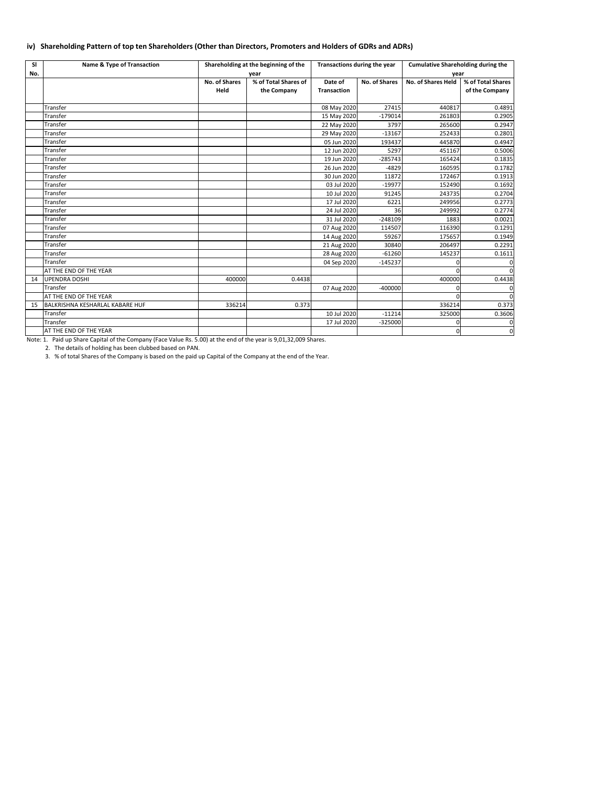# **iv) Shareholding Pattern of top ten Shareholders (Other than Directors, Promoters and Holders of GDRs and ADRs)**

| <b>SI</b> | <b>Name &amp; Type of Transaction</b>  | Shareholding at the beginning of the |                      | Transactions during the year |                      | <b>Cumulative Shareholding during the</b> |                   |  |
|-----------|----------------------------------------|--------------------------------------|----------------------|------------------------------|----------------------|-------------------------------------------|-------------------|--|
| No.       |                                        |                                      | year                 |                              |                      | year                                      |                   |  |
|           |                                        | <b>No. of Shares</b>                 | % of Total Shares of | Date of                      | <b>No. of Shares</b> | No. of Shares Held                        | % of Total Shares |  |
|           |                                        | Held                                 | the Company          | <b>Transaction</b>           |                      |                                           | of the Company    |  |
|           |                                        |                                      |                      |                              |                      |                                           |                   |  |
|           | <b>Transfer</b>                        |                                      |                      | 08 May 2020                  | 27415                | 440817                                    | 0.4891            |  |
|           | <b>Transfer</b>                        |                                      |                      | 15 May 2020                  | $-179014$            | 261803                                    | 0.2905            |  |
|           | <b>Transfer</b>                        |                                      |                      | 22 May 2020                  | 3797                 | 265600                                    | 0.2947            |  |
|           | Transfer                               |                                      |                      | 29 May 2020                  | $-13167$             | 252433                                    | 0.2801            |  |
|           | Transfer                               |                                      |                      | 05 Jun 2020                  | 193437               | 445870                                    | 0.4947            |  |
|           | Transfer                               |                                      |                      | 12 Jun 2020                  | 5297                 | 451167                                    | 0.5006            |  |
|           | Transfer                               |                                      |                      | 19 Jun 2020                  | $-285743$            | 165424                                    | 0.1835            |  |
|           | <b>Transfer</b>                        |                                      |                      | 26 Jun 2020                  | $-4829$              | 160595                                    | 0.1782            |  |
|           | <b>Transfer</b>                        |                                      |                      | 30 Jun 2020                  | 11872                | 172467                                    | 0.1913            |  |
|           | Transfer                               |                                      |                      | 03 Jul 2020                  | $-19977$             | 152490                                    | 0.1692            |  |
|           | Transfer                               |                                      |                      | 10 Jul 2020                  | 91245                | 243735                                    | 0.2704            |  |
|           | <b>Transfer</b>                        |                                      |                      | 17 Jul 2020                  | 6221                 | 249956                                    | 0.2773            |  |
|           | <b>Transfer</b>                        |                                      |                      | 24 Jul 2020                  | 36                   | 249992                                    | 0.2774            |  |
|           | Transfer                               |                                      |                      | 31 Jul 2020                  | $-248109$            | 1883                                      | 0.0021            |  |
|           | Transfer                               |                                      |                      | 07 Aug 2020                  | 114507               | 116390                                    | 0.1291            |  |
|           | <b>Transfer</b>                        |                                      |                      | 14 Aug 2020                  | 59267                | 175657                                    | 0.1949            |  |
|           | <b>Transfer</b>                        |                                      |                      | 21 Aug 2020                  | 30840                | 206497                                    | 0.2291            |  |
|           | <b>Transfer</b>                        |                                      |                      | 28 Aug 2020                  | $-61260$             | 145237                                    | 0.1611            |  |
|           | Transfer                               |                                      |                      | 04 Sep 2020                  | $-145237$            |                                           | <sup>0</sup>      |  |
|           | AT THE END OF THE YEAR                 |                                      |                      |                              |                      |                                           | $\Omega$          |  |
| 14        | <b>UPENDRA DOSHI</b>                   | 400000                               | 0.4438               |                              |                      | 400000                                    | 0.4438            |  |
|           | Transfer                               |                                      |                      | 07 Aug 2020                  | $-400000$            | ∩                                         | $\overline{0}$    |  |
|           | AT THE END OF THE YEAR                 |                                      |                      |                              |                      |                                           | $\Omega$          |  |
| 15        | <b>BALKRISHNA KESHARLAL KABARE HUF</b> | 336214                               | 0.373                |                              |                      | 336214                                    | 0.373             |  |
|           | <b>Transfer</b>                        |                                      |                      | 10 Jul 2020                  | $-11214$             | 325000                                    | 0.3606            |  |
|           | <b>Transfer</b>                        |                                      |                      | 17 Jul 2020                  | $-325000$            | 0                                         | $\overline{0}$    |  |
|           | AT THE END OF THE YEAR                 |                                      |                      |                              |                      | 0                                         | $\overline{0}$    |  |

2. The details of holding has been clubbed based on PAN.

3. % of total Shares of the Company is based on the paid up Capital of the Company at the end of the Year.

Note: 1. Paid up Share Capital of the Company (Face Value Rs. 5.00) at the end of the year is 9,01,32,009 Shares.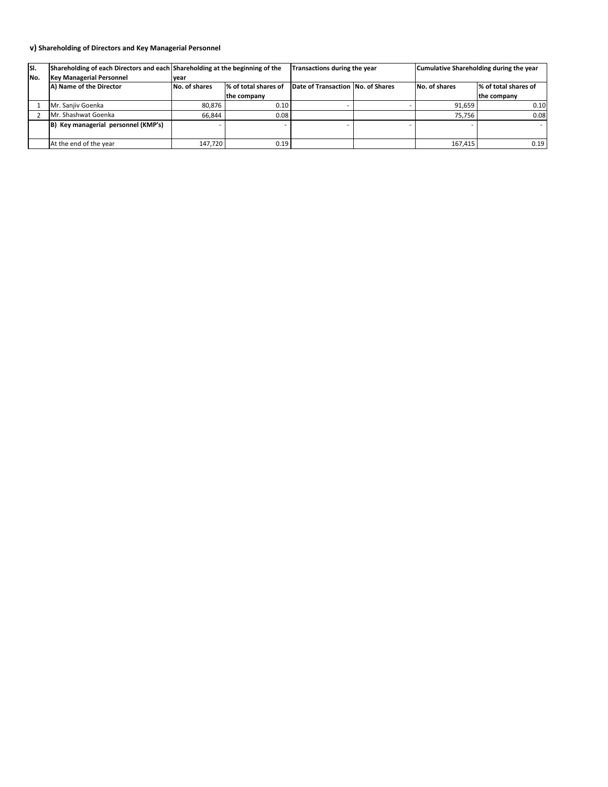| SI. | Shareholding of each Directors and each Shareholding at the beginning of the |               |                      |                                   | <b>Transactions during the year</b> | Cumulative Shareholding during the year |                      |
|-----|------------------------------------------------------------------------------|---------------|----------------------|-----------------------------------|-------------------------------------|-----------------------------------------|----------------------|
| No. | <b>Key Managerial Personnel</b>                                              | Ivear         |                      |                                   |                                     |                                         |                      |
|     | A) Name of the Director                                                      | No. of shares | % of total shares of | Date of Transaction No. of Shares |                                     | <b>No. of shares</b>                    | % of total shares of |
|     |                                                                              |               | the company          |                                   |                                     |                                         | the company          |
|     | Mr. Sanjiv Goenka                                                            | 80,876        | 0.10                 |                                   |                                     | 91,659                                  | 0.10                 |
|     | Mr. Shashwat Goenka                                                          | 66,844        | 0.08                 |                                   |                                     | 75,756                                  | 0.08                 |
|     | $ B $ Key managerial personnel (KMP's)                                       |               |                      |                                   |                                     |                                         |                      |
|     | At the end of the year                                                       | 147,720       | 0.19                 |                                   |                                     | 167,415                                 | 0.19                 |

# **v) Shareholding of Directors and Key Managerial Personnel**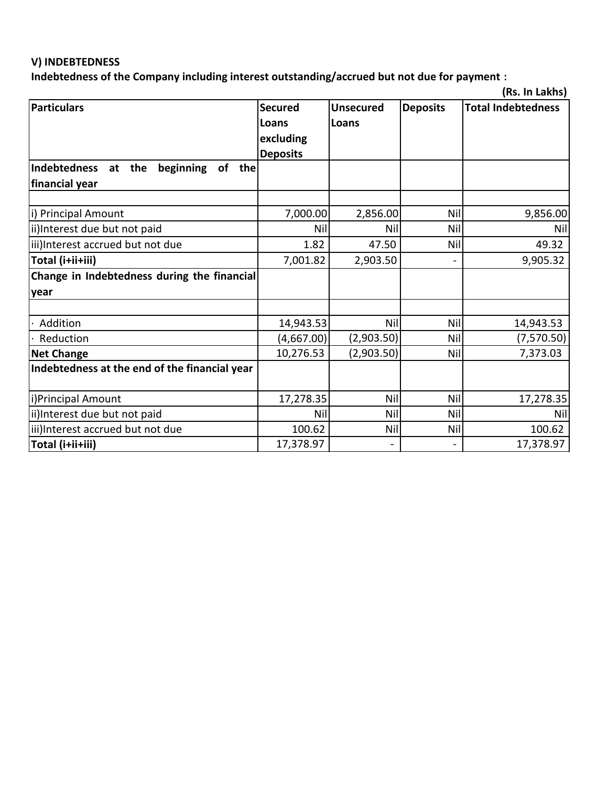## **V) INDEBTEDNESS**

**Indebtedness of the Company including interest outstanding/accrued but not due for payment :**

|                                                  |                 |                  |                 | (Rs. In Lakhs)            |
|--------------------------------------------------|-----------------|------------------|-----------------|---------------------------|
| <b>Particulars</b>                               | <b>Secured</b>  | <b>Unsecured</b> | <b>Deposits</b> | <b>Total Indebtedness</b> |
|                                                  | Loans           | Loans            |                 |                           |
|                                                  | excluding       |                  |                 |                           |
|                                                  | <b>Deposits</b> |                  |                 |                           |
| Indebtedness<br>at the<br>beginning<br>of<br>the |                 |                  |                 |                           |
| financial year                                   |                 |                  |                 |                           |
|                                                  |                 |                  |                 |                           |
| i) Principal Amount                              | 7,000.00        | 2,856.00         | Nil             | 9,856.00                  |
| ii)Interest due but not paid                     | Nil             | Nil              | Nil             | Nil                       |
| iii)Interest accrued but not due                 | 1.82            | 47.50            | Nil             | 49.32                     |
| Total (i+ii+iii)                                 | 7,001.82        | 2,903.50         |                 | 9,905.32                  |
| Change in Indebtedness during the financial      |                 |                  |                 |                           |
| year                                             |                 |                  |                 |                           |
|                                                  |                 |                  |                 |                           |
| Addition                                         | 14,943.53       | Nil              | <b>Nil</b>      | 14,943.53                 |
| Reduction                                        | (4,667.00)      | (2,903.50)       | Nil             | (7,570.50)                |
| <b>Net Change</b>                                | 10,276.53       | (2,903.50)       | Nil             | 7,373.03                  |
| Indebtedness at the end of the financial year    |                 |                  |                 |                           |
|                                                  |                 |                  |                 |                           |
| i)Principal Amount                               | 17,278.35       | Nil              | Nil             | 17,278.35                 |
| ii)Interest due but not paid                     | Nil             | Nil              | Nil             | Nil                       |
| iii)Interest accrued but not due                 | 100.62          | Nil              | Nil             | 100.62                    |
| Total (i+ii+iii)                                 | 17,378.97       | $\blacksquare$   |                 | 17,378.97                 |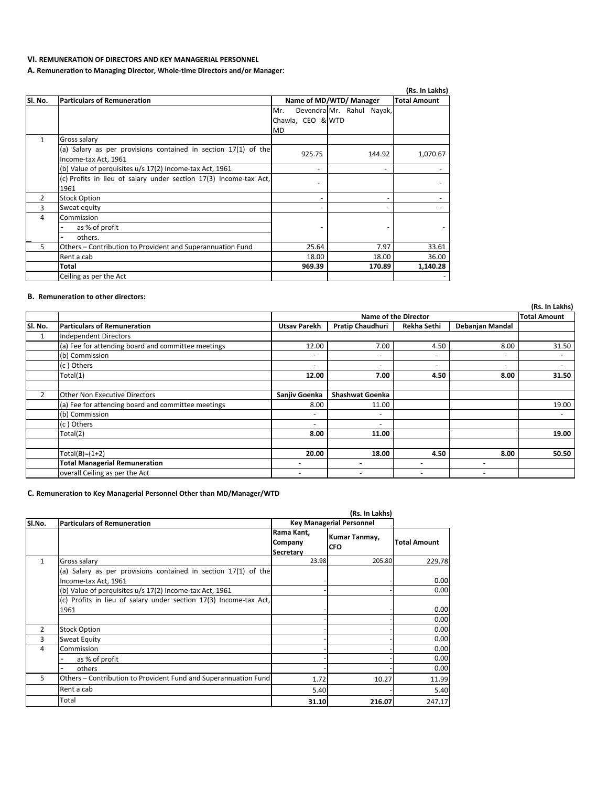**(Rs. In Lakhs)**

|                |                                                                                          |                   |                           | (Rs. In Lakhs)      |
|----------------|------------------------------------------------------------------------------------------|-------------------|---------------------------|---------------------|
| SI. No.        | <b>Particulars of Remuneration</b>                                                       |                   | Name of MD/WTD/ Manager   | <b>Total Amount</b> |
|                |                                                                                          | Mr.               | Devendra Mr. Rahul Nayak, |                     |
|                |                                                                                          | Chawla, CEO & WTD |                           |                     |
|                |                                                                                          | <b>MD</b>         |                           |                     |
| 1              | <b>Gross salary</b>                                                                      |                   |                           |                     |
|                | (a) Salary as per provisions contained in section $17(1)$ of the<br>Income-tax Act, 1961 | 925.75            | 144.92                    | 1,070.67            |
|                | (b) Value of perquisites u/s 17(2) Income-tax Act, 1961                                  |                   |                           |                     |
|                | (c) Profits in lieu of salary under section 17(3) Income-tax Act,                        |                   |                           |                     |
|                | 1961                                                                                     |                   |                           |                     |
| $\overline{2}$ | <b>Stock Option</b>                                                                      |                   |                           |                     |
| 3              | Sweat equity                                                                             |                   |                           |                     |
| 4              | Commission                                                                               |                   |                           |                     |
|                | as % of profit                                                                           |                   |                           |                     |
|                | others.                                                                                  |                   |                           |                     |
| 5              | Others - Contribution to Provident and Superannuation Fund                               | 25.64             | 7.97                      | 33.61               |
|                | Rent a cab                                                                               | 18.00             | 18.00                     | 36.00               |
|                | Total                                                                                    | 969.39            | 170.89                    | 1,140.28            |
|                | Ceiling as per the Act                                                                   |                   |                           |                     |

|                | (RS. In Lakns)                                     |                          |                             |                          |                          |       |  |  |
|----------------|----------------------------------------------------|--------------------------|-----------------------------|--------------------------|--------------------------|-------|--|--|
|                |                                                    |                          | <b>Name of the Director</b> |                          |                          |       |  |  |
| Sl. No.        | <b>Particulars of Remuneration</b>                 | <b>Utsav Parekh</b>      | <b>Pratip Chaudhuri</b>     | Rekha Sethi              | <b>Debanjan Mandal</b>   |       |  |  |
| $\mathbf{1}$   | <b>Independent Directors</b>                       |                          |                             |                          |                          |       |  |  |
|                | (a) Fee for attending board and committee meetings | 12.00                    | 7.00                        | 4.50                     | 8.00                     | 31.50 |  |  |
|                | (b) Commission                                     |                          | $\sim$                      |                          | $\overline{\phantom{a}}$ |       |  |  |
|                | (c) Others                                         | $\overline{\phantom{0}}$ | $\sim$                      | $\overline{\phantom{0}}$ | $\sim$                   |       |  |  |
|                | Total(1)                                           | 12.00                    | 7.00                        | 4.50                     | 8.00                     | 31.50 |  |  |
|                |                                                    |                          |                             |                          |                          |       |  |  |
| $\overline{2}$ | <b>Other Non Executive Directors</b>               | Sanjiv Goenka            | <b>Shashwat Goenka</b>      |                          |                          |       |  |  |
|                | (a) Fee for attending board and committee meetings | 8.00                     | 11.00                       |                          |                          | 19.00 |  |  |
|                | (b) Commission                                     | $\overline{\phantom{0}}$ | $\sim$                      |                          |                          |       |  |  |
|                | (c) Others                                         | $\overline{\phantom{0}}$ | $\sim$                      |                          |                          |       |  |  |
|                | Total(2)                                           | 8.00                     | 11.00                       |                          |                          | 19.00 |  |  |
|                |                                                    |                          |                             |                          |                          |       |  |  |
|                | $Total(B)=(1+2)$                                   | 20.00                    | 18.00                       | 4.50                     | 8.00                     | 50.50 |  |  |
|                | <b>Total Managerial Remuneration</b>               |                          |                             |                          |                          |       |  |  |
|                | overall Ceiling as per the Act                     |                          | $\overline{\phantom{0}}$    |                          |                          |       |  |  |

|                | (Rs. In Lakhs)                                                                         |                                                  |                                    |                     |  |  |  |  |
|----------------|----------------------------------------------------------------------------------------|--------------------------------------------------|------------------------------------|---------------------|--|--|--|--|
| SI.No.         | <b>Particulars of Remuneration</b>                                                     | <b>Key Managerial Personnel</b>                  |                                    |                     |  |  |  |  |
|                |                                                                                        | Rama Kant,<br><b>Company</b><br><b>Secretary</b> | <b>Kumar Tanmay,</b><br><b>CFO</b> | <b>Total Amount</b> |  |  |  |  |
| $\mathbf{1}$   | Gross salary                                                                           | 23.98                                            | 205.80                             | 229.78              |  |  |  |  |
|                | (a) Salary as per provisions contained in section 17(1) of the<br>Income-tax Act, 1961 |                                                  |                                    | 0.00                |  |  |  |  |
|                | (b) Value of perquisites u/s 17(2) Income-tax Act, 1961                                |                                                  |                                    | 0.00                |  |  |  |  |
|                | (c) Profits in lieu of salary under section 17(3) Income-tax Act,<br>1961              |                                                  |                                    | 0.00                |  |  |  |  |
|                |                                                                                        |                                                  |                                    | 0.00                |  |  |  |  |
| $\overline{2}$ | <b>Stock Option</b>                                                                    |                                                  |                                    | 0.00                |  |  |  |  |
| 3              | <b>Sweat Equity</b>                                                                    |                                                  |                                    | 0.00                |  |  |  |  |
| 4              | Commission                                                                             |                                                  |                                    | 0.00                |  |  |  |  |
|                | as % of profit                                                                         |                                                  |                                    | 0.00                |  |  |  |  |
|                | others                                                                                 |                                                  |                                    | 0.00                |  |  |  |  |
| 5              | Others – Contribution to Provident Fund and Superannuation Fund                        | 1.72                                             | 10.27                              | 11.99               |  |  |  |  |
|                | Rent a cab                                                                             | 5.40                                             |                                    | 5.40                |  |  |  |  |
|                | Total                                                                                  | 31.10                                            | 216.07                             | 247.17              |  |  |  |  |

### **VI. REMUNERATION OF DIRECTORS AND KEY MANAGERIAL PERSONNEL**

**A. Remuneration to Managing Director, Whole-time Directors and/or Manager:**

#### **B. Remuneration to other directors:**

# **C. Remuneration to Key Managerial Personnel Other than MD/Manager/WTD**